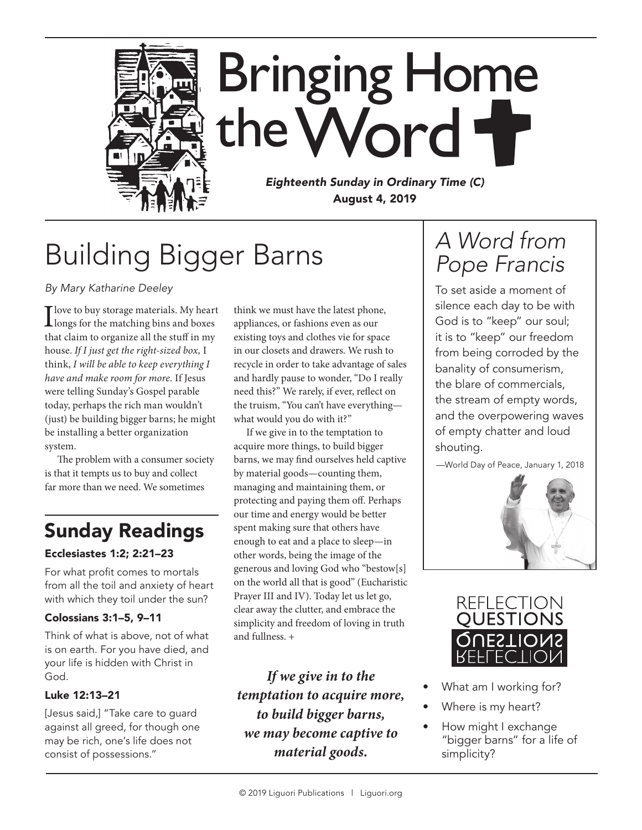

## Building Bigger Barns

*By Mary Katharine Deeley*

 $\prod_{\text{longs}}$  for the matching bins and boxes that claim to organize all the stuff in my house. *If I just get the right-sized box,* I think, *I will be able to keep everything I have and make room for more.* If Jesus were telling Sunday's Gospel parable today, perhaps the rich man wouldn't (just) be building bigger barns; he might be installing a better organization system.

The problem with a consumer society is that it tempts us to buy and collect far more than we need. We sometimes

## Sunday Readings

### Ecclesiastes 1:2; 2:21–23

For what profit comes to mortals from all the toil and anxiety of heart with which they toil under the sun?

#### Colossians 3:1–5, 9–11

Think of what is above, not of what is on earth. For you have died, and your life is hidden with Christ in God.

### Luke 12:13–21

[Jesus said,] "Take care to guard against all greed, for though one may be rich, one's life does not consist of possessions."

think we must have the latest phone, appliances, or fashions even as our existing toys and clothes vie for space in our closets and drawers. We rush to recycle in order to take advantage of sales and hardly pause to wonder, "Do I really need this?" We rarely, if ever, reflect on the truism, "You can't have everything what would you do with it?"

If we give in to the temptation to acquire more things, to build bigger barns, we may find ourselves held captive by material goods—counting them, managing and maintaining them, or protecting and paying them off. Perhaps our time and energy would be better spent making sure that others have enough to eat and a place to sleep—in other words, being the image of the generous and loving God who "bestow[s] on the world all that is good" (Eucharistic Prayer III and IV). Today let us let go, clear away the clutter, and embrace the simplicity and freedom of loving in truth and fullness. +

*If we give in to the temptation to acquire more, to build bigger barns, we may become captive to material goods.*

### *A Word from Pope Francis*

To set aside a moment of silence each day to be with God is to "keep" our soul; it is to "keep" our freedom from being corroded by the banality of consumerism, the blare of commercials, the stream of empty words, and the overpowering waves of empty chatter and loud shouting.

—World Day of Peace, January 1, 2018





- What am I working for?
- Where is my heart?
- How might I exchange "bigger barns" for a life of simplicity?